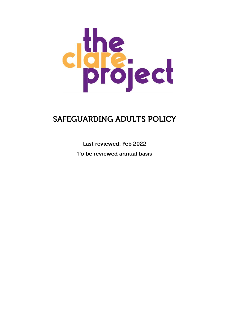

# **SAFEGUARDING ADULTS POLICY**

Last reviewed: Feb 2022 To be reviewed annual basis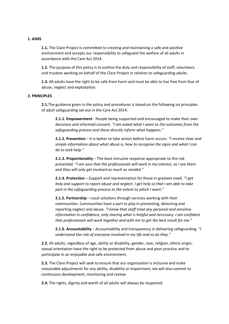## **1. AIMS**

**1.1.** The Clare Project is committed to creating and maintaining a safe and positive environment and accepts our responsibility to safeguard the welfare of all adults in accordance with the Care Act 2014.

**1.2.** The purpose of this policy is to outline the duty and responsibility of staff, volunteers and trustees working on behalf of the Clare Project in relation to safeguarding adults.

**1.3.** All adults have the right to be safe from harm and must be able to live free from fear of abuse, neglect and exploitation.

#### **2. PRINCIPLES**

**2.1.**The guidance given in the policy and procedures is based on the following six principles of adult safeguarding set out in the Care Act 2014:

**2.1.1. Empowerment** - People being supported and encouraged to make their own decisions and informed consent. *"I am asked what I want as the outcomes from the safeguarding process and these directly inform what happens."*

**2.1.2. Prevention** – It is better to take action before harm occurs. *"I receive clear and simple information about what abuse is, how to recognise the signs and what I can do to seek help."*

**2.1.3. Proportionality** – The least intrusive response appropriate to the risk presented. *"I am sure that the professionals will work in my interest, as I see them and they will only get involved as much as needed."*

**2.1.4. Protection** – Support and representation for those in greatest need. *"I get help and support to report abuse and neglect. I get help so that I am able to take part in the safeguarding process to the extent to which I want."*

**2.1.5. Partnership** – Local solutions through services working with their communities. Communities have a part to play in preventing, detecting and reporting neglect and abuse. *"I know that staff treat any personal and sensitive information in confidence, only sharing what is helpful and necessary. I am confident that professionals will work together and with me to get the best result for me."*

**2.1.6. Accountability** – Accountability and transparency in delivering safeguarding. *"I understand the role of everyone involved in my life and so do they."*

**2.2.** All adults, regardless of age, ability or disability, gender, race, religion, ethnic origin, sexual orientation have the right to be protected from abuse and poor practice and to participate in an enjoyable and safe environment.

**2.3.** The Clare Project will seek to ensure that our organisation is inclusive and make reasonable adjustments for any ability, disability or impairment, we will also commit to continuous development, monitoring and review.

**2.4.** The rights, dignity and worth of all adults will always be respected.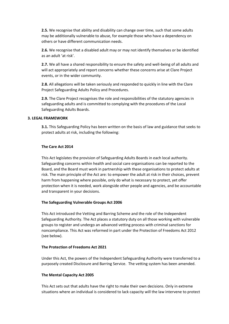**2.5.** We recognise that ability and disability can change over time, such that some adults may be additionally vulnerable to abuse, for example those who have a dependency on others or have different communication needs.

**2.6.** We recognise that a disabled adult may or may not identify themselves or be identified as an adult 'at risk'.

**2.7.** We all have a shared responsibility to ensure the safety and well-being of all adults and will act appropriately and report concerns whether these concerns arise at Clare Project events, or in the wider community.

**2.8.** All allegations will be taken seriously and responded to quickly in line with the Clare Project Safeguarding Adults Policy and Procedures.

**2.9.** The Clare Project recognises the role and responsibilities of the statutory agencies in safeguarding adults and is committed to complying with the procedures of the Local Safeguarding Adults Boards.

#### **3. LEGAL FRAMEWORK**

**3.1.** This Safeguarding Policy has been written on the basis of law and guidance that seeks to protect adults at risk, including the following:

#### **The Care Act 2014**

This Act legislates the provision of Safeguarding Adults Boards in each local authority. Safeguarding concerns within health and social care organisations can be reported to the Board, and the Board must work in partnership with these organisations to protect adults at risk. The main principle of the Act are: to empower the adult at risk in their choices, prevent harm from happening where possible, only do what is necessary to protect, yet offer protection when it is needed, work alongside other people and agencies, and be accountable and transparent in your decisions.

## **The Safeguarding Vulnerable Groups Act 2006**

This Act introduced the Vetting and Barring Scheme and the role of the Independent Safeguarding Authority. The Act places a statutory duty on all those working with vulnerable groups to register and undergo an advanced vetting process with criminal sanctions for noncompliance. This Act was reformed in part under the Protection of Freedoms Act 2012 (see below).

#### **The Protection of Freedoms Act 2021**

Under this Act, the powers of the Independent Safeguarding Authority were transferred to a purposely created Disclosure and Barring Service. The vetting system has been amended.

#### **The Mental Capacity Act 2005**

This Act sets out that adults have the right to make their own decisions. Only in extreme situations where an individual is considered to lack capacity will the law intervene to protect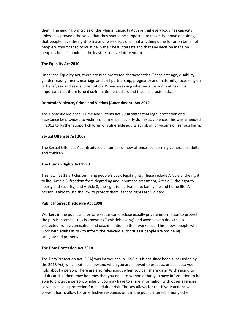them. The guiding principles of the Mental Capacity Act are that everybody has capacity unless it is proved otherwise, that they should be supported to make their own decisions, that people have the right to make unwise decisions, that anything done for or on behalf of people without capacity must be in their best interests and that any decision made on people's behalf should be the least restrictive intervention.

## **The Equality Act 2010**

Under the Equality Act, there are nine protected characteristics. These are: age, disability, gender reassignment, marriage and civil partnership, pregnancy and maternity, race, religion or belief, sex and sexual orientation. When assessing whether a person is at risk, it is important that there is no discrimination based around these characteristics.

## **Domestic Violence, Crime and Victims (Amendment) Act 2012**

The Domestic Violence, Crime and Victims Act 2004 states that legal protection and assistance be provided to victims of crime, particularly domestic violence. This was amended in 2012 to further support children or vulnerable adults at risk of, or victims of, serious harm.

## **Sexual Offenses Act 2003**

The Sexual Offences Act introduced a number of new offences concerning vulnerable adults and children.

# **The Human Rights Act 1998**

This law has 13 articles outlining people's basic legal rights. These include Article 2, the right to life, Article 3, freedom from degrading and inhumane treatment, Article 5, the right to liberty and security, and Article 8, the right to a private life, family life and home life. A person is able to use the law to protect them if these rights are violated.

## **Public Interest Disclosure Act 1998**

Workers in the public and private sector can disclose usually private information to protect the public interest – this is known as "whistleblowing" and anyone who does this is protected from victimisation and discrimination in their workplace. This allows people who work with adults at risk to inform the relevant authorities if people are not being safeguarded properly.

# **The Data Protection Act 2018**

The Data Protection Act (DPA) was introduced in 1998 but it has since been superseded by the 2018 Act, which outlines how and when you are allowed to process, or use, data you hold about a person. There are also rules about when you can share data. With regard to adults at risk, there may be times that you need to withhold that you have information to be able to protect a person. Similarly, you may have to share information with other agencies so you can seek protection for an adult at risk. The law allows for this if your actions will prevent harm, allow for an effective response, or is in the public interest, among other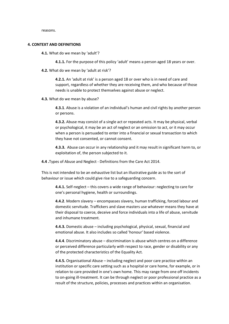reasons.

#### **4. CONTEXT AND DEFINITIONS**

- **4.1.** What do we mean by 'adult'?
	- **4.1.1.** For the purpose of this policy 'adult' means a person aged 18 years or over.
- **4.2.** What do we mean by 'adult at risk'?

**4.2.1.** An 'adult at risk' is a person aged 18 or over who is in need of care and support, regardless of whether they are receiving them, and who because of those needs is unable to protect themselves against abuse or neglect.

**4.3.** What do we mean by abuse?

**4.3.1**. Abuse is a violation of an individual's human and civil rights by another person or persons.

**4.3.2.** Abuse may consist of a single act or repeated acts. It may be physical, verbal or psychological, it may be an act of neglect or an omission to act, or it may occur when a person is persuaded to enter into a financial or sexual transaction to which they have not consented, or cannot consent.

**4.3.3.** Abuse can occur in any relationship and it may result in significant harm to, or exploitation of, the person subjected to it.

**4.4 .**Types of Abuse and Neglect - Definitions from the Care Act 2014.

This is not intended to be an exhaustive list but an illustrative guide as to the sort of behaviour or issue which could give rise to a safeguarding concern.

**4.4.1.** Self-neglect – this covers a wide range of behaviour: neglecting to care for one's personal hygiene, health or surroundings.

**4.4.2**. Modern slavery – encompasses slavery, human trafficking, forced labour and domestic servitude. Traffickers and slave masters use whatever means they have at their disposal to coerce, deceive and force individuals into a life of abuse, servitude and inhumane treatment.

**4.4.3.** Domestic abuse – including psychological, physical, sexual, financial and emotional abuse. It also includes so called 'honour' based violence.

**4.4.4**. Discriminatory abuse – discrimination is abuse which centres on a difference or perceived difference particularly with respect to race, gender or disability or any of the protected characteristics of the Equality Act.

**4.4.5.** Organisational Abuse – including neglect and poor care practice within an institution or specific care setting such as a hospital or care home, for example, or in relation to care provided in one's own home. This may range from one off incidents to on-going ill-treatment. It can be through neglect or poor professional practice as a result of the structure, policies, processes and practices within an organisation.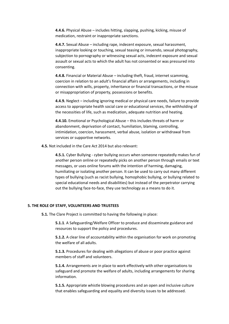**4.4.6.** Physical Abuse – includes hitting, slapping, pushing, kicking, misuse of medication, restraint or inappropriate sanctions.

**4.4.7.** Sexual Abuse – including rape, indecent exposure, sexual harassment, inappropriate looking or touching, sexual teasing or innuendo, sexual photography, subjection to pornography or witnessing sexual acts, indecent exposure and sexual assault or sexual acts to which the adult has not consented or was pressured into consenting.

**4.4.8.** Financial or Material Abuse – including theft, fraud, internet scamming, coercion in relation to an adult's financial affairs or arrangements, including in connection with wills, property, inheritance or financial transactions, or the misuse or misappropriation of property, possessions or benefits.

**4.4.9.** Neglect – including ignoring medical or physical care needs, failure to provide access to appropriate health social care or educational services, the withholding of the necessities of life, such as medication, adequate nutrition and heating.

**4.4.10.** Emotional or Psychological Abuse – this includes threats of harm or abandonment, deprivation of contact, humiliation, blaming, controlling, intimidation, coercion, harassment, verbal abuse, isolation or withdrawal from services or supportive networks.

**4.5.** Not included in the Care Act 2014 but also relevant:

**4.5.1.** Cyber Bullying - cyber bullying occurs when someone repeatedly makes fun of another person online or repeatedly picks on another person through emails or text messages, or uses online forums with the intention of harming, damaging, humiliating or isolating another person. It can be used to carry out many different types of bullying (such as racist bullying, homophobic bullying, or bullying related to special educational needs and disabilities) but instead of the perpetrator carrying out the bullying face-to-face, they use technology as a means to do it.

#### **5. THE ROLE OF STAFF, VOLUNTEERS AND TRUSTEES**

**5.1.** The Clare Project is committed to having the following in place:

**5.1.1**. A Safeguarding/Welfare Officer to produce and disseminate guidance and resources to support the policy and procedures.

**5.1.2.** A clear line of accountability within the organisation for work on promoting the welfare of all adults.

**5.1.3.** Procedures for dealing with allegations of abuse or poor practice against members of staff and volunteers.

**5.1.4.** Arrangements are in place to work effectively with other organisations to safeguard and promote the welfare of adults, including arrangements for sharing information.

**5.1.5.** Appropriate whistle blowing procedures and an open and inclusive culture that enables safeguarding and equality and diversity issues to be addressed.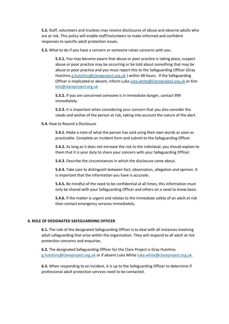**5.2.** Staff, volunteers and trustees may receive disclosures of abuse and observe adults who are at risk. This policy will enable staff/volunteers to make informed and confident responses to specific adult protection issues.

**5.3.** What to do if you have a concern or someone raises concerns with you.

**5.3.1.** You may become aware that abuse or poor practice is taking place, suspect abuse or poor practice may be occurring or be told about something that may be abuse or poor practice and you must report this to the Safeguarding Officer (Gray Hutchins [g.hutchins@clareproject.org.uk](mailto:g.hutchins@clareproject.org.uk) ) within 48 hours. If the Safeguarding Officer is implicated or absent, inform Luka [luka.white@Clareproject.org.uk](mailto:luka.white@Clareproject.org.uk) or Kim [kim@clareproject.org.uk](mailto:kim@clareproject.org.uk)

**5.3.2.** If you are concerned someone is in immediate danger, contact 999 immediately.

**5.3.3.** It is important when considering your concern that you also consider the needs and wishes of the person at risk, taking into account the nature of the alert.

**5.4.** How to Record a Disclosure

**5.4.1.** Make a note of what the person has said using their own words as soon as practicable. Complete an incident form and submit to the Safeguarding Officer.

**5.4.2.** As long as it does not increase the risk to the individual, you should explain to them that it is your duty to share your concern with your Safeguarding Officer.

**5.4.3.** Describe the circumstances in which the disclosure came about.

**5.4.4.** Take care to distinguish between fact, observation, allegation and opinion. It is important that the information you have is accurate.

**5.4.5.** Be mindful of the need to be confidential at all times, this information must only be shared with your Safeguarding Officer and others on a need to know basis.

**5.4.6.** If the matter is urgent and relates to the immediate safety of an adult at risk then contact emergency services immediately.

## **6. ROLE OF DESIGNATED SAFEGUARDING OFFICER**

**6.1.** The role of the designated Safeguarding Officer is to deal with all instances involving adult safeguarding that arise within the organisation. They will respond to all adult at risk protection concerns and enquiries.

**6.2.** The designated Safeguarding Officer for the Clare Project is Gray Hutchins [g.hutchins@clareproject.org.uk](mailto:g.hutchins@clareproject.org.uk) or if absent Luka White [luka.white@clareproject.org.uk](mailto:luka.white@clareproject.org.uk) .

**6.3.** When responding to an incident, it is up to the Safeguarding Officer to determine if professional adult protection services need to be contacted.